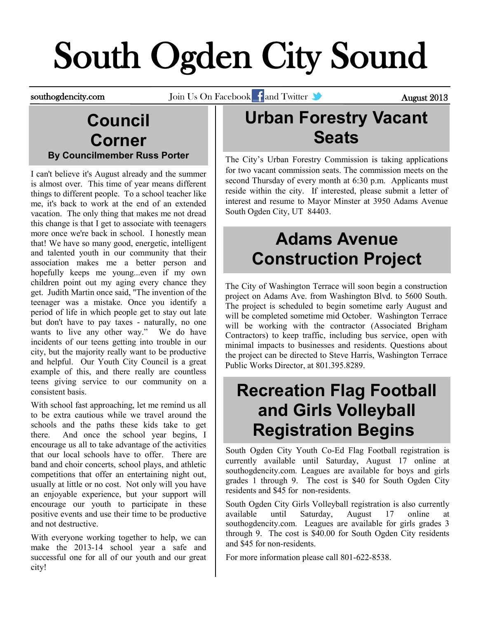# South Ogden City Sound

southogdencity.com Join Us On Facebook and Twitter **and Twitter August 2013** 

#### **Council Corner By Councilmember Russ Porter**

I can't believe it's August already and the summer is almost over. This time of year means different things to different people. To a school teacher like me, it's back to work at the end of an extended vacation. The only thing that makes me not dread this change is that I get to associate with teenagers more once we're back in school. I honestly mean that! We have so many good, energetic, intelligent and talented youth in our community that their association makes me a better person and hopefully keeps me young...even if my own children point out my aging every chance they get. Judith Martin once said, "The invention of the teenager was a mistake. Once you identify a period of life in which people get to stay out late but don't have to pay taxes - naturally, no one wants to live any other way." We do have incidents of our teens getting into trouble in our city, but the majority really want to be productive and helpful. Our Youth City Council is a great example of this, and there really are countless teens giving service to our community on a consistent basis.

With school fast approaching, let me remind us all to be extra cautious while we travel around the schools and the paths these kids take to get there. And once the school year begins, I encourage us all to take advantage of the activities that our local schools have to offer. There are band and choir concerts, school plays, and athletic competitions that offer an entertaining night out, usually at little or no cost. Not only will you have an enjoyable experience, but your support will encourage our youth to participate in these positive events and use their time to be productive and not destructive.

With everyone working together to help, we can make the 2013-14 school year a safe and successful one for all of our youth and our great city!

### **Urban Forestry Vacant Seats**

The City's Urban Forestry Commission is taking applications for two vacant commission seats. The commission meets on the second Thursday of every month at 6:30 p.m. Applicants must reside within the city. If interested, please submit a letter of interest and resume to Mayor Minster at 3950 Adams Avenue South Ogden City, UT 84403.

## **Adams Avenue Construction Project**

The City of Washington Terrace will soon begin a construction project on Adams Ave. from Washington Blvd. to 5600 South. The project is scheduled to begin sometime early August and will be completed sometime mid October. Washington Terrace will be working with the contractor (Associated Brigham Contractors) to keep traffic, including bus service, open with minimal impacts to businesses and residents. Questions about the project can be directed to Steve Harris, Washington Terrace Public Works Director, at 801.395.8289.

#### **Recreation Flag Football and Girls Volleyball Registration Begins**

South Ogden City Youth Co-Ed Flag Football registration is currently available until Saturday, August 17 online at southogdencity.com. Leagues are available for boys and girls grades 1 through 9. The cost is \$40 for South Ogden City residents and \$45 for non-residents.

South Ogden City Girls Volleyball registration is also currently available until Saturday, August 17 online at southogdencity.com. Leagues are available for girls grades 3 through 9. The cost is \$40.00 for South Ogden City residents and \$45 for non-residents.

For more information please call 801-622-8538.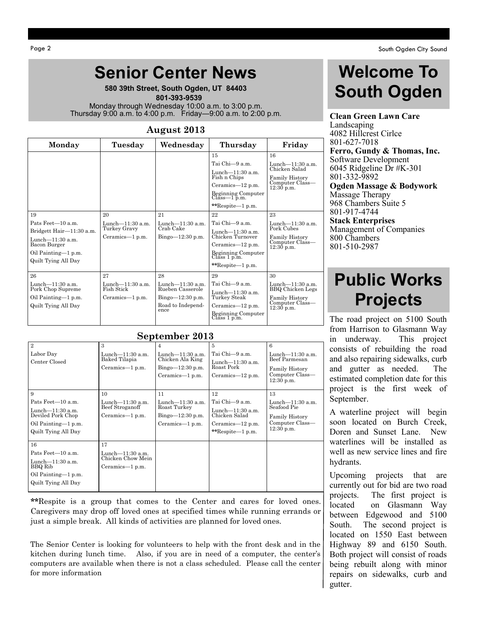#### **Senior Center News**

**580 39th Street, South Ogden, UT 84403**  **801-393-9539** Monday through Wednesday 10:00 a.m. to 3:00 p.m. Thursday 9:00 a.m. to 4:00 p.m. Friday—9:00 a.m. to 2:00 p.m.

#### **August 2013**

| Monday                                                                                                        | Tuesday                                                           | Wednesday                                                                                         | Thursday                                                                                                                                                                            | Friday                                                                                                                                         |
|---------------------------------------------------------------------------------------------------------------|-------------------------------------------------------------------|---------------------------------------------------------------------------------------------------|-------------------------------------------------------------------------------------------------------------------------------------------------------------------------------------|------------------------------------------------------------------------------------------------------------------------------------------------|
| 19<br>Pats Feet-10 a.m.                                                                                       | 20<br>Lunch—11:30 a.m.                                            | 21<br>Lunch— $11:30$ a.m.<br>Crab Cake                                                            | 15<br>Tai Chi-9 a.m.<br>Lunch- $11:30$ a.m.<br>Fish n Chips<br>Ceramics— $12$ p.m.<br>Beginning Computer<br>$C_{\text{lass}}-1$ p.m.<br>$*k$ Respite—1 p.m.<br>22<br>Tai Chi-9 a.m. | 16<br>Lunch- $11:30$ a.m.<br>Chicken Salad<br><b>Family History</b><br>Computer Class—<br>$12:30$ p.m.<br>23<br>Lunch—11:30 a.m.<br>Pork Cubes |
| Bridgett Hair-11:30 a.m.<br>Lunch- $11:30$ a.m.<br>Bacon Burger<br>Oil Painting—1 p.m.<br>Quilt Tying All Day | Turkey Gravy<br>Ceramics—1 p.m.                                   | Bingo $-12:30$ p.m.                                                                               | Lunch- $11:30$ a.m.<br>Chicken Turnover<br>Ceramics— $12$ p.m.<br>Beginning Computer<br>Class $1 p.m.$<br>**Respite-1 p.m.                                                          | Family History<br>Computer Class—<br>$12:30$ p.m.                                                                                              |
| 26<br>Lunch- $11:30$ a.m.<br>Pork Chop Supreme<br>Oil Painting-1 p.m.<br>Quilt Tying All Day                  | 27<br>Lunch- $11:30$ a.m.<br><b>Fish Stick</b><br>Ceramics-1 p.m. | 28<br>Lunch- $11:30$ a.m.<br>Rueben Casserole<br>Bingo $-12:30$ p.m.<br>Road to Independ-<br>ence | 29<br>Tai Chi-9 a.m.<br>Lunch- $11:30$ a.m.<br>Turkey Steak<br>Ceramics-12 p.m.<br>Beginning Computer<br>Class $1 p.m.$                                                             | 30<br>Lunch- $11:30$ a.m.<br>BBQ Chicken Legs<br><b>Family History</b><br>Computer Class-<br>$12:30$ p.m.                                      |

#### **September 2013**

| 2<br>Labor Day<br>Center Closed                                                                                  | 3<br>Lunch $-11:30$ a.m.<br>Baked Tilapia<br>Ceramics—1 p.m.      | 4<br>Lunch $-11:30$ a.m.<br>Chicken Ala King<br>$Bingo=12:30 p.m.$<br>$Ceramics-1 p.m.$ | 5<br>Tai Chi-9 a.m.<br>Lunch- $11:30$ a.m.<br>Roast Pork<br>Ceramics— $12$ p.m.                           | 6<br>Lunch $-11:30$ a.m.<br>Beef Parmesan<br><b>Family History</b><br>Computer Class—<br>$12:30$ p.m. |
|------------------------------------------------------------------------------------------------------------------|-------------------------------------------------------------------|-----------------------------------------------------------------------------------------|-----------------------------------------------------------------------------------------------------------|-------------------------------------------------------------------------------------------------------|
| 9<br>Pats Feet-10 a.m.<br>Lunch $-11:30$ a.m.<br>Deviled Pork Chop<br>Oil Painting—1 p.m.<br>Quilt Tying All Day | 10<br>Lunch- $11:30$ a.m.<br>Beef Stroganoff<br>Ceramics—1 p.m.   | 11<br>Lunch $-11:30$ a.m.<br>Roast Turkey<br>$Bingo=12:30 p.m.$<br>Ceramics—1 p.m.      | 12<br>Tai Chi-9 a.m.<br>Lunch- $11:30$ a.m.<br>Chicken Salad<br>Ceramics— $12$ p.m.<br>$*$ Respite—1 p.m. | 13<br>Lunch- $11:30$ a.m.<br>Seafood Pie<br><b>Family History</b><br>Computer Class—<br>$12:30$ p.m.  |
| 16<br>Pats Feet-10 a.m.<br>Lunch $-11:30$ a.m.<br>BBQ Rib<br>Oil Painting—1 p.m.<br>Quilt Tying All Day          | 17<br>Lunch $-11:30$ a.m.<br>Chicken Chow Mein<br>Ceramics—1 p.m. |                                                                                         |                                                                                                           |                                                                                                       |

**\*\***Respite is a group that comes to the Center and cares for loved ones. Caregivers may drop off loved ones at specified times while running errands or just a simple break. All kinds of activities are planned for loved ones.

The Senior Center is looking for volunteers to help with the front desk and in the kitchen during lunch time. Also, if you are in need of a computer, the center's computers are available when there is not a class scheduled. Please call the center for more information

# **Welcome To South Ogden**

**Clean Green Lawn Care** Landscaping 4082 Hillcrest Cirlce 801-627-7018 **Ferro, Gundy & Thomas, Inc.** Software Development 6045 Ridgeline Dr #K-301 801-332-9892 **Ogden Massage & Bodywork** Massage Therapy 968 Chambers Suite 5 801-917-4744 **Stack Enterprises** Management of Companies 800 Chambers 801-510-2987

#### **Public Works Projects**

The road project on 5100 South from Harrison to Glasmann Way in underway. This project consists of rebuilding the road and also repairing sidewalks, curb and gutter as needed. The estimated completion date for this project is the first week of September.

A waterline project will begin soon located on Burch Creek, Doren and Sunset Lane. New waterlines will be installed as well as new service lines and fire hydrants.

Upcoming projects that are currently out for bid are two road projects. The first project is located on Glasmann Way between Edgewood and 5100 South. The second project is located on 1550 East between Highway 89 and 6150 South. Both project will consist of roads being rebuilt along with minor repairs on sidewalks, curb and gutter.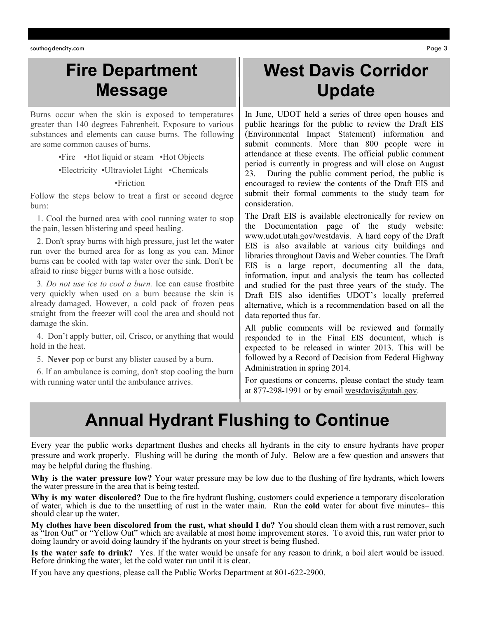southogdencity.com Page 3

#### **Fire Department Message**

Burns occur when the skin is exposed to temperatures greater than 140 degrees Fahrenheit. Exposure to various substances and elements can cause burns. The following are some common causes of burns.

•Fire •Hot liquid or steam •Hot Objects

•Electricity •Ultraviolet Light •Chemicals

•Friction

Follow the steps below to treat a first or second degree burn:

 1. Cool the burned area with cool running water to stop the pain, lessen blistering and speed healing.

 2. Don't spray burns with high pressure, just let the water run over the burned area for as long as you can. Minor burns can be cooled with tap water over the sink. Don't be afraid to rinse bigger burns with a hose outside.

3*. Do not use ice to cool a burn.* Ice can cause frostbite very quickly when used on a burn because the skin is already damaged. However, a cold pack of frozen peas straight from the freezer will cool the area and should not damage the skin.

 4. Don't apply butter, oil, Crisco, or anything that would hold in the heat.

5. **Never** pop or burst any blister caused by a burn.

 6. If an ambulance is coming, don't stop cooling the burn with running water until the ambulance arrives.

#### **West Davis Corridor Update**

In June, UDOT held a series of three open houses and public hearings for the public to review the Draft EIS (Environmental Impact Statement) information and submit comments. More than 800 people were in attendance at these events. The official public comment period is currently in progress and will close on August 23. During the public comment period, the public is encouraged to review the contents of the Draft EIS and submit their formal comments to the study team for consideration.

The Draft EIS is available electronically for review on the Documentation page of the study website: [www.udot.utah.gov/westdavis.](http://www.udot.utah.gov/westdavis) A hard copy of the Draft EIS is also available at various city buildings and libraries throughout Davis and Weber counties. The Draft EIS is a large report, documenting all the data, information, input and analysis the team has collected and studied for the past three years of the study. The Draft EIS also identifies UDOT's locally preferred alternative, which is a recommendation based on all the data reported thus far.

All public comments will be reviewed and formally responded to in the Final EIS document, which is expected to be released in winter 2013. This will be followed by a Record of Decision from Federal Highway Administration in spring 2014.

For questions or concerns, please contact the study team at 877-298-1991 or by email westdavis@utah.gov.

#### **Annual Hydrant Flushing to Continue**

Every year the public works department flushes and checks all hydrants in the city to ensure hydrants have proper pressure and work properly. Flushing will be during the month of July. Below are a few question and answers that may be helpful during the flushing.

**Why is the water pressure low?** Your water pressure may be low due to the flushing of fire hydrants, which lowers the water pressure in the area that is being tested.

**Why is my water discolored?** Due to the fire hydrant flushing, customers could experience a temporary discoloration of water, which is due to the unsettling of rust in the water main. Run the **cold** water for about five minutes– this should clear up the water.

**My clothes have been discolored from the rust, what should I do?** You should clean them with a rust remover, such as "Iron Out" or "Yellow Out" which are available at most home improvement stores. To avoid this, run water prior to doing laundry or avoid doing laundry if the hydrants on your street is being flushed.

**Is the water safe to drink?** Yes. If the water would be unsafe for any reason to drink, a boil alert would be issued. Before drinking the water, let the cold water run until it is clear.

If you have any questions, please call the Public Works Department at 801-622-2900.